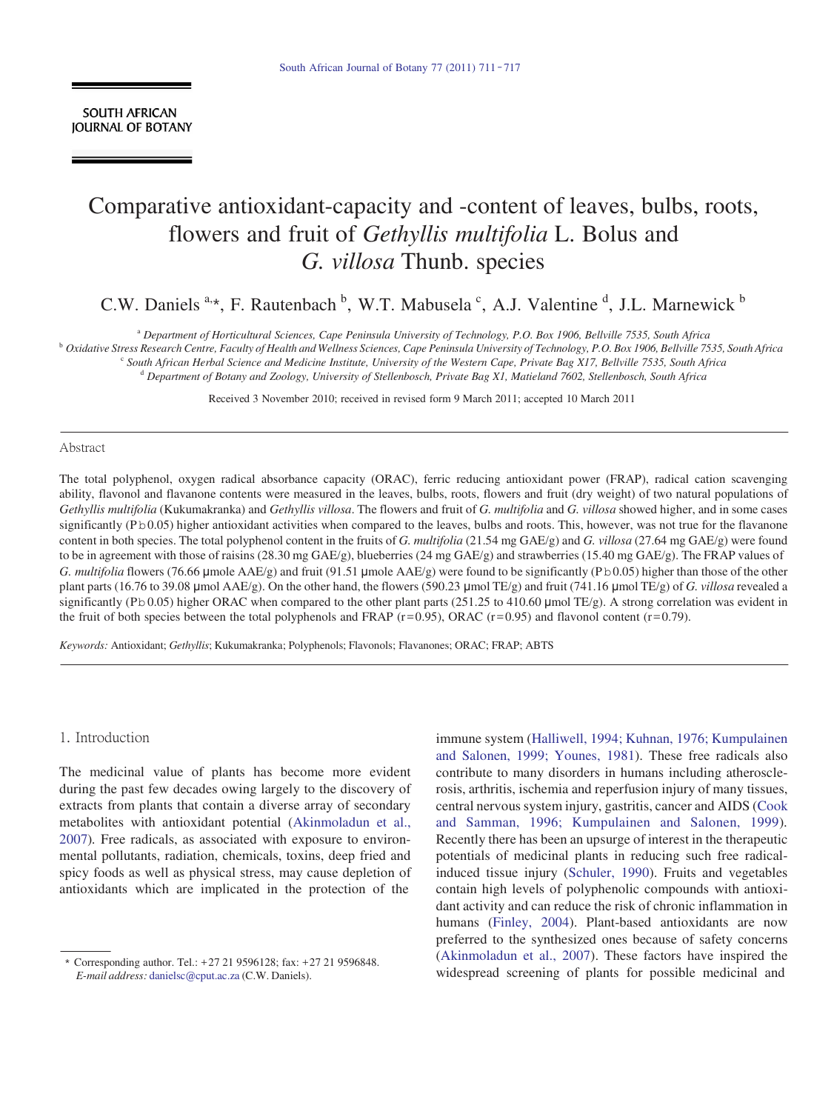# Comparative antioxidant-capacity and -content of leaves, bulbs, roots, flowers and fruit of *Gethyllis multifolia* L. Bolus and *G. villosa* Thunb. species

C.W. Daniels <sup>a,\*</sup>, F. Rautenbach <sup>b</sup>, W.T. Mabusela <sup>c</sup>, A.J. Valentine <sup>d</sup>, J.L. Marnewick <sup>b</sup>

<sup>a</sup>*Department of Horticultural Sciences, Cape Peninsula University of Technology, P.O. Box 1906, Bellville 7535, South Africa*

<sup>b</sup>*Oxidative Stress Research Centre, Faculty of Health and Wellness Sciences, Cape Peninsula University of Technology, P.O. Box 1906, Bellville 7535, South Africa*

<sup>c</sup>*South African Herbal Science and Medicine Institute, University of the Western Cape, Private Bag X17, Bellville 7535, South Africa*

<sup>d</sup>*Department of Botany and Zoology, University of Stellenbosch, Private Bag X1, Matieland 7602, Stellenbosch, South Africa*

Received 3 November 2010; received in revised form 9 March 2011; accepted 10 March 2011

#### Abstract

The total polyphenol, oxygen radical absorbance capacity (ORAC), ferric reducing antioxidant power (FRAP), radical cation scavenging ability, flavonol and flavanone contents were measured in the leaves, bulbs, roots, flowers and fruit (dry weight) of two natural populations of *Gethyllis multifolia* (Kukumakranka) and *Gethyllis villosa*. The flowers and fruit of *G. multifolia* and *G. villosa* showed higher, and in some cases significantly (Pb 0.05) higher antioxidant activities when compared to the leaves, bulbs and roots. This, however, was not true for the flavanone content in both species. The total polyphenol content in the fruits of *G. multifolia* (21.54 mg GAE/g) and *G. villosa* (27.64 mg GAE/g) were found to be in agreement with those of raisins (28.30 mg GAE/g), blueberries (24 mg GAE/g) and strawberries (15.40 mg GAE/g). The FRAP values of *G. multifolia* flowers (76.66 μmole AAE/g) and fruit (91.51 μmole AAE/g) were found to be significantly (Pb 0.05) higher than those of the other plant parts (16.76 to 39.08 μmol AAE/g). On the other hand, the flowers (590.23 μmol TE/g) and fruit (741.16 μmol TE/g) of *G. villosa* revealed a significantly (Pb 0.05) higher ORAC when compared to the other plant parts (251.25 to 410.60 µmol TE/g). A strong correlation was evident in the fruit of both species between the total polyphenols and FRAP ( $r=0.95$ ), ORAC ( $r=0.95$ ) and flavonol content ( $r=0.79$ ).

*Keywords:* Antioxidant; *Gethyllis*; Kukumakranka; Polyphenols; Flavonols; Flavanones; ORAC; FRAP; ABTS

#### 1. Introduction

The medicinal value of plants has become more evident during the past few decades owing largely to the discovery of extracts from plants that contain a diverse array of secondary metabolites with antioxidant potential [\(Akinmoladun et al.,](#page-5-0) [2007\)](#page-5-0)*.* Free radicals, as associated with exposure to environmental pollutants, radiation, chemicals, toxins, deep fried and spicy foods as well as physical stress, may cause depletion of antioxidants which are implicated in the protection of the

immune system [\(Halliwell, 1994; Kuhnan, 1976; Kumpulainen](#page-5-1) [and Salonen, 1999; Younes, 1981\)](#page-5-1). These free radicals also contribute to many disorders in humans including atherosclerosis, arthritis, ischemia and reperfusion injury of many tissues, central nervous system injury, gastritis, cancer and AIDS [\(Cook](#page-5-0) [and Samman, 1996; Kumpulainen and Salonen, 1999\)](#page-5-0)*.* Recently there has been an upsurge of interest in the therapeutic potentials of medicinal plants in reducing such free radicalinduced tissue injury [\(Schuler, 1990\)](#page-6-0). Fruits and vegetables contain high levels of polyphenolic compounds with antioxidant activity and can reduce the risk of chronic inflammation in humans [\(Finley, 2004\)](#page-5-2). Plant-based antioxidants are now preferred to the synthesized ones because of safety concerns [\(Akinmoladun et al., 2007\)](#page-5-0). These factors have inspired the widespread screening of plants for possible medicinal and

<sup>⁎</sup> Corresponding author. Tel.: + 27 21 9596128; fax: + 27 21 9596848. *E-mail address:* [danielsc@cput.ac.za \(](mailto:danielsc@cput.ac.za)C.W. Daniels).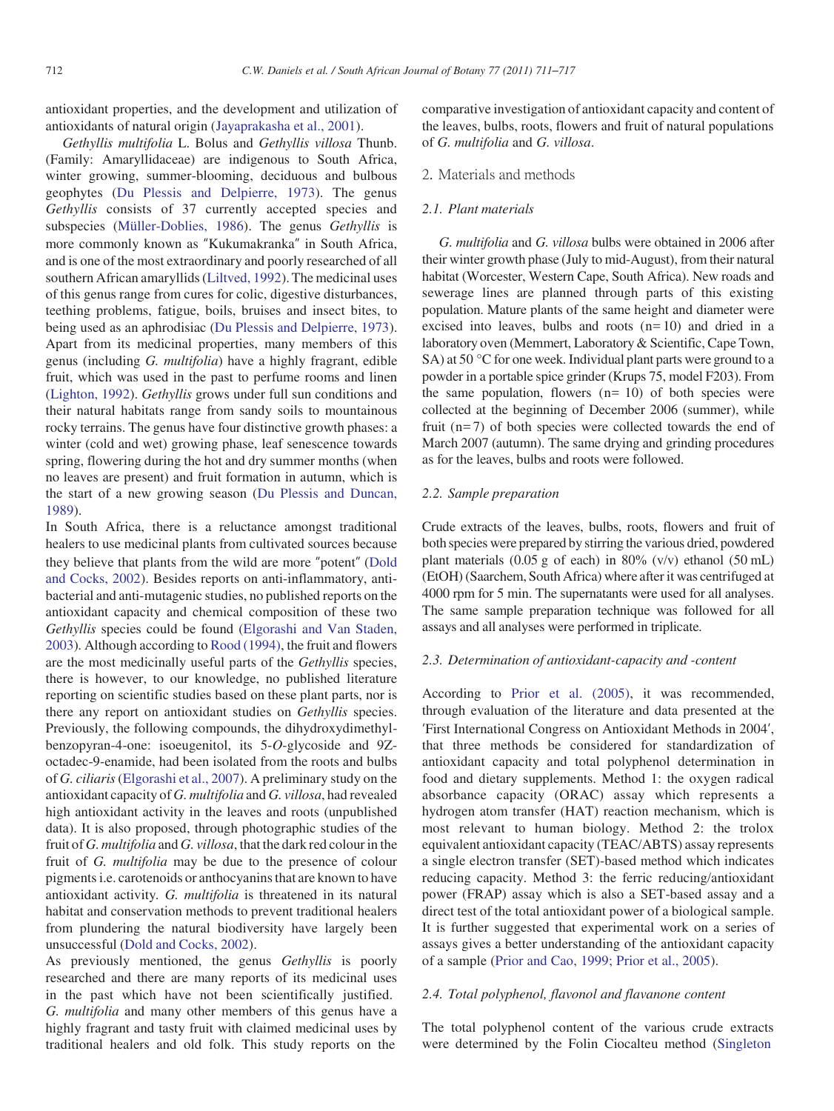antioxidant properties, and the development and utilization of antioxidants of natural origin [\(Jayaprakasha et al., 2001\)](#page-5-3).

*Gethyllis multifolia* L. Bolus and *Gethyllis villosa* Thunb. (Family: Amaryllidaceae) are indigenous to South Africa, winter growing, summer-blooming, deciduous and bulbous geophytes [\(Du Plessis and Delpierre, 1973\)](#page-5-0). The genus *Gethyllis* consists of 37 currently accepted species and subspecies [\(Müller-Doblies, 1986\)](#page-6-0). The genus *Gethyllis* is more commonly known as "Kukumakranka" in South Africa, and is one of the most extraordinary and poorly researched of all southern African amaryllids [\(Liltved, 1992\)](#page-5-4). The medicinal uses of this genus range from cures for colic, digestive disturbances, teething problems, fatigue, boils, bruises and insect bites, to being used as an aphrodisiac [\(Du Plessis and Delpierre, 1973\)](#page-5-0). Apart from its medicinal properties, many members of this genus (including *G. multifolia*) have a highly fragrant, edible fruit, which was used in the past to perfume rooms and linen [\(Lighton, 1992\)](#page-5-5). *Gethyllis* grows under full sun conditions and their natural habitats range from sandy soils to mountainous rocky terrains. The genus have four distinctive growth phases: a winter (cold and wet) growing phase, leaf senescence towards spring, flowering during the hot and dry summer months (when no leaves are present) and fruit formation in autumn, which is the start of a new growing season [\(Du Plessis and Duncan,](#page-5-0) [1989\)](#page-5-0).

In South Africa, there is a reluctance amongst traditional healers to use medicinal plants from cultivated sources because they believe that plants from the wild are more "potent" [\(Dold](#page-5-0) [and Cocks, 2002\)](#page-5-0). Besides reports on anti-inflammatory, antibacterial and anti-mutagenic studies, no published reports on the antioxidant capacity and chemical composition of these two *Gethyllis* species could be found [\(Elgorashi and Van Staden,](#page-5-6)  [2003\)](#page-5-6)*.* Although according to [Rood \(1994\),](#page-6-0) the fruit and flowers are the most medicinally useful parts of the *Gethyllis* species, there is however, to our knowledge, no published literature reporting on scientific studies based on these plant parts, nor is there any report on antioxidant studies on *Gethyllis* species. Previously, the following compounds, the dihydroxydimethylbenzopyran-4-one: isoeugenitol, its 5-*O*-glycoside and 9Zoctadec-9-enamide, had been isolated from the roots and bulbs of *G. ciliaris* [\(Elgorashi et al., 2007\)](#page-5-7). A preliminary study on the antioxidant capacity of *G. multifolia* and *G. villosa*, had revealed high antioxidant activity in the leaves and roots (unpublished data). It is also proposed, through photographic studies of the fruit of *G. multifolia* and *G. villosa*, that the dark red colour in the fruit of *G. multifolia* may be due to the presence of colour pigments i.e. carotenoids or anthocyanins that are known to have antioxidant activity*. G. multifolia* is threatened in its natural habitat and conservation methods to prevent traditional healers from plundering the natural biodiversity have largely been unsuccessful [\(Dold and Cocks, 2002\)](#page-5-0).

As previously mentioned, the genus *Gethyllis* is poorly researched and there are many reports of its medicinal uses in the past which have not been scientifically justified. *G. multifolia* and many other members of this genus have a highly fragrant and tasty fruit with claimed medicinal uses by traditional healers and old folk. This study reports on the

comparative investigation of antioxidant capacity and content of the leaves, bulbs, roots, flowers and fruit of natural populations of *G. multifolia* and *G. villosa*.

## 2. Materials and methods

#### *2.1. Plant materials*

*G. multifolia* and *G. villosa* bulbs were obtained in 2006 after their winter growth phase (July to mid-August), from their natural habitat (Worcester, Western Cape, South Africa). New roads and sewerage lines are planned through parts of this existing population. Mature plants of the same height and diameter were excised into leaves, bulbs and roots  $(n=10)$  and dried in a laboratory oven (Memmert, Laboratory & Scientific, Cape Town, SA) at 50 °C for one week. Individual plant parts were ground to a powder in a portable spice grinder (Krups 75, model F203). From the same population, flowers  $(n= 10)$  of both species were collected at the beginning of December 2006 (summer), while fruit (n= 7) of both species were collected towards the end of March 2007 (autumn). The same drying and grinding procedures as for the leaves, bulbs and roots were followed.

## *2.2. Sample preparation*

Crude extracts of the leaves, bulbs, roots, flowers and fruit of both species were prepared by stirring the various dried, powdered plant materials  $(0.05 \text{ g of each})$  in 80%  $(v/v)$  ethanol  $(50 \text{ mL})$ (EtOH) (Saarchem, South Africa) where after it was centrifuged at 4000 rpm for 5 min. The supernatants were used for all analyses. The same sample preparation technique was followed for all assays and all analyses were performed in triplicate.

# *2.3. Determination of antioxidant-capacity and -content*

According to [Prior et al. \(2005\),](#page-6-0) it was recommended, through evaluation of the literature and data presented at the 'First International Congress on Antioxidant Methods in 2004', that three methods be considered for standardization of antioxidant capacity and total polyphenol determination in food and dietary supplements. Method 1: the oxygen radical absorbance capacity (ORAC) assay which represents a hydrogen atom transfer (HAT) reaction mechanism, which is most relevant to human biology. Method 2: the trolox equivalent antioxidant capacity (TEAC/ABTS) assay represents a single electron transfer (SET)-based method which indicates reducing capacity. Method 3: the ferric reducing/antioxidant power (FRAP) assay which is also a SET-based assay and a direct test of the total antioxidant power of a biological sample. It is further suggested that experimental work on a series of assays gives a better understanding of the antioxidant capacity of a sample [\(Prior and Cao, 1999; Prior et al., 2005\)](#page-6-0).

# *2.4. Total polyphenol, flavonol and flavanone content*

The total polyphenol content of the various crude extracts were determined by the Folin Ciocalteu method [\(Singleton](#page-6-0)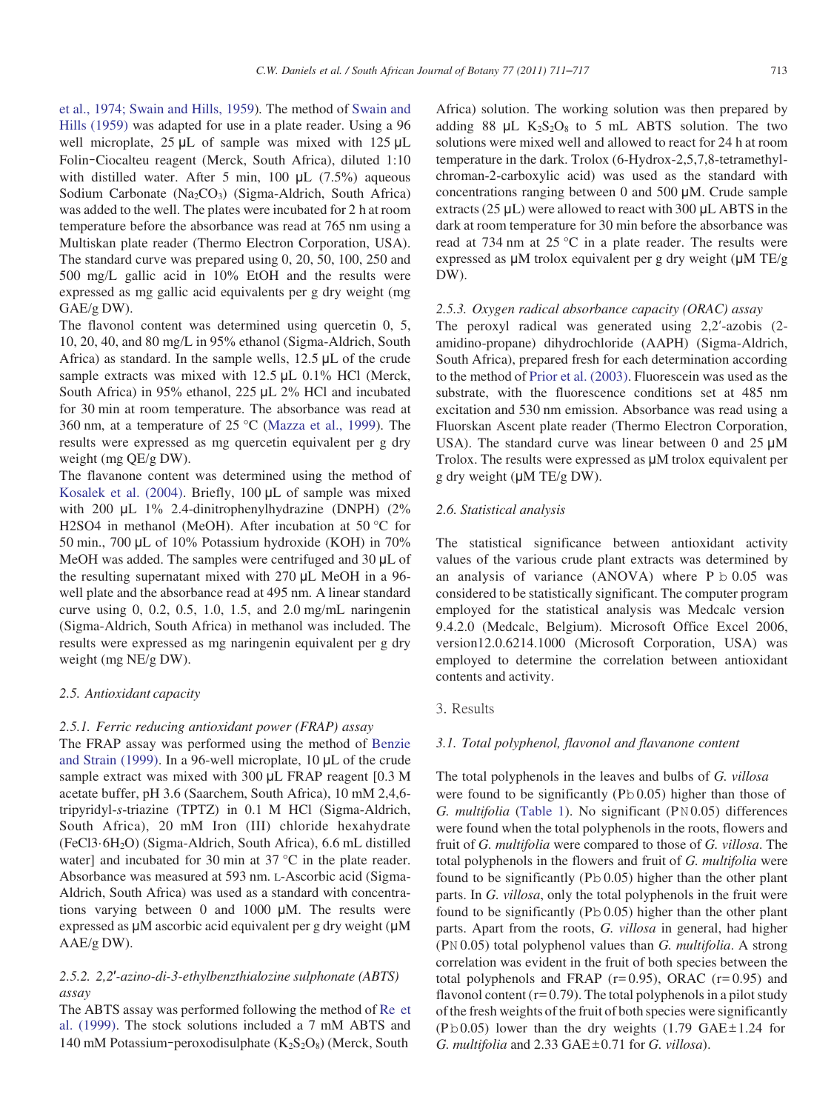[et al., 1974; Swain and Hills, 1959\)](#page-6-0)*.* The method o[f Swain and](#page-6-0) [Hills \(1959\)](#page-6-0) was adapted for use in a plate reader. Using a 96 well microplate, 25 μL of sample was mixed with 125 μL Folin–Ciocalteu reagent (Merck, South Africa), diluted 1:10 with distilled water. After 5 min, 100  $\mu$ L (7.5%) aqueous Sodium Carbonate (Na<sub>2</sub>CO<sub>3</sub>) (Sigma-Aldrich, South Africa) was added to the well. The plates were incubated for 2 h at room temperature before the absorbance was read at 765 nm using a Multiskan plate reader (Thermo Electron Corporation, USA). The standard curve was prepared using 0, 20, 50, 100, 250 and 500 mg/L gallic acid in 10% EtOH and the results were expressed as mg gallic acid equivalents per g dry weight (mg GAE/g DW).

The flavonol content was determined using quercetin 0, 5, 10, 20, 40, and 80 mg/L in 95% ethanol (Sigma-Aldrich, South Africa) as standard. In the sample wells, 12.5 μL of the crude sample extracts was mixed with 12.5 μL 0.1% HCl (Merck, South Africa) in 95% ethanol, 225 μL 2% HCl and incubated for 30 min at room temperature. The absorbance was read at 360 nm, at a temperature of 25 °C (Mazza [et al., 1999\)](#page-6-0)*.* The results were expressed as mg quercetin equivalent per g dry weight (mg QE/g DW).

The flavanone content was determined using the method of [Kosalek et al. \(2004\).](#page-5-8) Briefly, 100 μL of sample was mixed with 200 μL 1% 2.4-dinitrophenylhydrazine (DNPH) (2% H2SO4 in methanol (MeOH). After incubation at 50 °C for 50 min., 700 μL of 10% Potassium hydroxide (KOH) in 70% MeOH was added. The samples were centrifuged and 30 μL of the resulting supernatant mixed with 270 μL MeOH in a 96 well plate and the absorbance read at 495 nm. A linear standard curve using 0, 0.2, 0.5, 1.0, 1.5, and 2.0 mg/mL naringenin (Sigma-Aldrich, South Africa) in methanol was included. The results were expressed as mg naringenin equivalent per g dry weight (mg NE/g DW).

#### *2.5. Antioxidant capacity*

#### *2.5.1. Ferric reducing antioxidant power (FRAP) assay*

The FRAP assay was performed using the method of [Benzie](#page-5-0) [and Strain \(1999\).](#page-5-0) In a 96-well microplate, 10 μL of the crude sample extract was mixed with 300 μL FRAP reagent [0.3 M acetate buffer, pH 3.6 (Saarchem, South Africa), 10 mM 2,4,6 tripyridyl-*s*-triazine (TPTZ) in 0.1 M HCl (Sigma-Aldrich, South Africa), 20 mM Iron (III) chloride hexahydrate (FeCl3·6H2O) (Sigma-Aldrich, South Africa), 6.6 mL distilled water] and incubated for 30 min at 37 °C in the plate reader. Absorbance was measured at 593 nm. L-Ascorbic acid (Sigma-Aldrich, South Africa) was used as a standard with concentrations varying between 0 and 1000 μM. The results were expressed as μM ascorbic acid equivalent per g dry weight (μM AAE/g DW).

# *2.5.2. 2,2*′*-azino-di-3-ethylbenzthialozine sulphonate (ABTS) assay*

The ABTS assay was performed following the method of [Re](#page-6-0) [et](#page-6-0) [al. \(1999\).](#page-6-0) The stock solutions included a 7 mM ABTS and 140 mM Potassium–peroxodisulphate  $(K_2S_2O_8)$  (Merck, South

Africa) solution. The working solution was then prepared by adding 88  $\mu$ L K<sub>2</sub>S<sub>2</sub>O<sub>8</sub> to 5 mL ABTS solution. The two solutions were mixed well and allowed to react for 24 h at room temperature in the dark. Trolox (6-Hydrox-2,5,7,8-tetramethylchroman-2-carboxylic acid) was used as the standard with concentrations ranging between 0 and 500 μM. Crude sample extracts (25 μL) were allowed to react with 300 μL ABTS in the dark at room temperature for 30 min before the absorbance was read at 734 nm at 25 °C in a plate reader. The results were expressed as μM trolox equivalent per g dry weight (μM TE/g DW).

## *2.5.3. Oxygen radical absorbance capacity (ORAC) assay*

The peroxyl radical was generated using 2,2′-azobis (2 amidino-propane) dihydrochloride (AAPH) (Sigma-Aldrich, South Africa), prepared fresh for each determination according to the method of [Prior et al. \(2003\).](#page-6-0) Fluorescein was used as the substrate, with the fluorescence conditions set at 485 nm excitation and 530 nm emission. Absorbance was read using a Fluorskan Ascent plate reader (Thermo Electron Corporation, USA). The standard curve was linear between 0 and  $25 \mu M$ Trolox. The results were expressed as μM trolox equivalent per g dry weight (μM TE/g DW).

# *2.6. Statistical analysis*

The statistical significance between antioxidant activity values of the various crude plant extracts was determined by an analysis of variance  $(ANOVA)$  where P  $\geq 0.05$  was considered to be statistically significant. The computer program employed for the statistical analysis was Medcalc version 9.4.2.0 (Medcalc, Belgium). Microsoft Office Excel 2006, version12.0.6214.1000 (Microsoft Corporation, USA) was employed to determine the correlation between antioxidant contents and activity.

#### 3. Results

#### *3.1. Total polyphenol, flavonol and flavanone content*

The total polyphenols in the leaves and bulbs of *G. villosa* were found to be significantly (Pb 0.05) higher than those of *G. multifolia* [\(Table 1\)](#page-3-0). No significant (PN 0.05) differences were found when the total polyphenols in the roots, flowers and fruit of *G. multifolia* were compared to those of *G. villosa*. The total polyphenols in the flowers and fruit of *G. multifolia* were found to be significantly ( $Pb 0.05$ ) higher than the other plant parts. In *G. villosa*, only the total polyphenols in the fruit were found to be significantly ( $Pb 0.05$ ) higher than the other plant parts. Apart from the roots, *G. villosa* in general, had higher (PN 0.05) total polyphenol values than *G. multifolia*. A strong correlation was evident in the fruit of both species between the total polyphenols and FRAP  $(r= 0.95)$ , ORAC  $(r= 0.95)$  and flavonol content  $(r= 0.79)$ . The total polyphenols in a pilot study of the fresh weights of the fruit of both species were significantly (Pb 0.05) lower than the dry weights (1.79 GAE  $\pm$  1.24 for *G. multifolia* and 2.33 GAE ± 0.71 for *G. villosa*).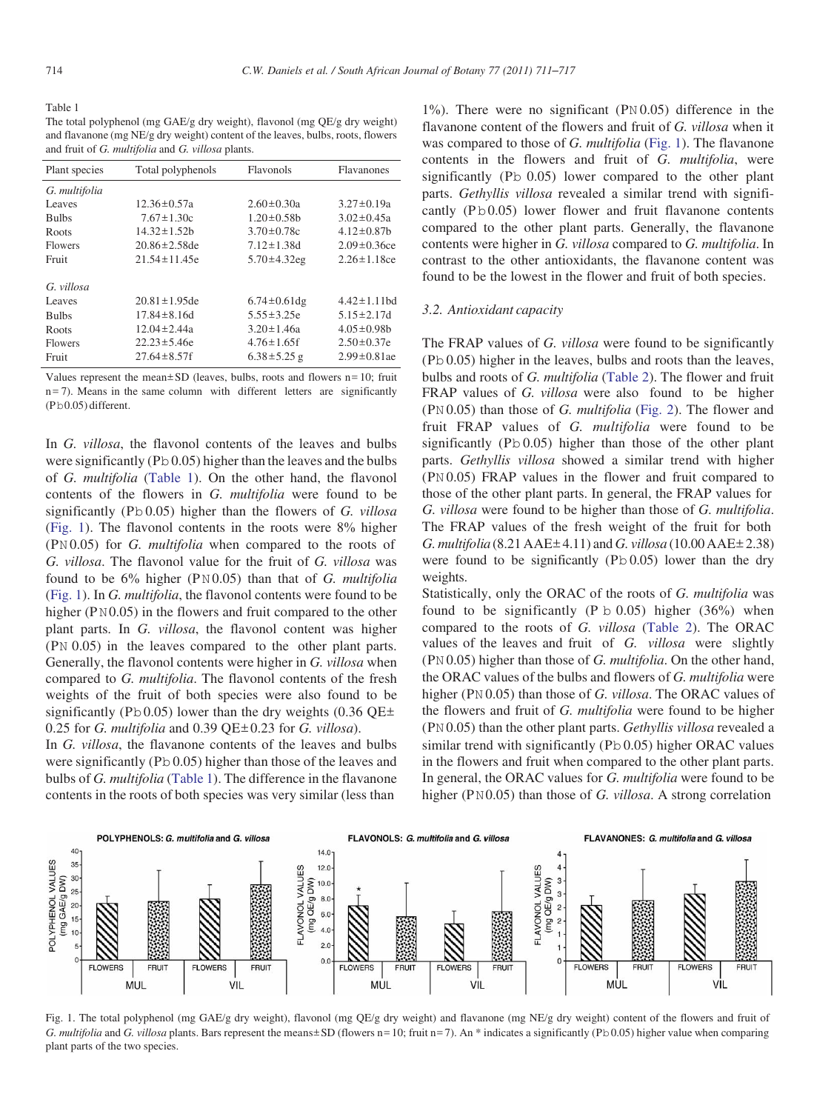<span id="page-3-0"></span>Table 1 The total polyphenol (mg GAE/g dry weight), flavonol (mg QE/g dry weight) and flavanone (mg NE/g dry weight) content of the leaves, bulbs, roots, flowers and fruit of *G. multifolia* and *G. villosa* plants.

| Plant species  | Total polyphenols   | Flavonols          | <b>Flavanones</b>  |
|----------------|---------------------|--------------------|--------------------|
| G. multifolia  |                     |                    |                    |
| Leaves         | $12.36 \pm 0.57a$   | $2.60 \pm 0.30a$   | $3.27 \pm 0.19a$   |
| <b>Bulbs</b>   | $7.67 \pm 1.30c$    | $1.20 \pm 0.58$    | $3.02 \pm 0.45a$   |
| Roots          | $14.32 \pm 1.52b$   | $3.70 \pm 0.78c$   | $4.12 \pm 0.87$    |
| <b>Flowers</b> | $20.86 \pm 2.58$ de | $7.12 \pm 1.38$ d  | $2.09 \pm 0.36$ ce |
| Fruit          | $21.54 \pm 11.45e$  | $5.70 \pm 4.32$ eg | $2.26 \pm 1.18$ ce |
| G. villosa     |                     |                    |                    |
| Leaves         | $20.81 \pm 1.95$ de | $6.74 \pm 0.61$ dg | $4.42 \pm 1.11$ hd |
| <b>Bulbs</b>   | $17.84 \pm 8.16d$   | $5.55 \pm 3.25e$   | $5.15 \pm 2.17d$   |
| Roots          | $12.04 \pm 2.44a$   | $3.20 \pm 1.46a$   | $4.05 \pm 0.98$ b  |
| <b>Flowers</b> | $22.23 \pm 5.46e$   | $4.76 \pm 1.65$ f  | $2.50 \pm 0.37$ e  |
| Fruit          | $27.64 \pm 8.57$ f  | $6.38 \pm 5.25$ g  | $2.99 \pm 0.81$ ae |

Values represent the mean $\pm$  SD (leaves, bulbs, roots and flowers n= 10; fruit  $n= 7$ ). Means in the same column with different letters are significantly  $(Pb 0.05)$  different.

In *G. villosa*, the flavonol contents of the leaves and bulbs were significantly ( $Pb 0.05$ ) higher than the leaves and the bulbs of *G. multifolia* [\(Table 1\)](#page-3-0). On the other hand, the flavonol contents of the flowers in *G. multifolia* were found to be significantly (Pb 0.05) higher than the flowers of *G. villosa* [\(Fig. 1\)](#page-3-1). The flavonol contents in the roots were 8% higher (PN 0.05) for *G. multifolia* when compared to the roots of *G. villosa*. The flavonol value for the fruit of *G. villosa* was found to be 6% higher (PN 0.05) than that of *G. multifolia* [\(Fig. 1\)](#page-3-1). In *G. multifolia*, the flavonol contents were found to be higher (PN 0.05) in the flowers and fruit compared to the other plant parts. In *G. villosa*, the flavonol content was higher (PN 0.05) in the leaves compared to the other plant parts. Generally, the flavonol contents were higher in *G. villosa* when compared to *G. multifolia*. The flavonol contents of the fresh weights of the fruit of both species were also found to be significantly (Pb 0.05) lower than the dry weights (0.36 QE $\pm$ 0.25 for *G. multifolia* and 0.39 QE± 0.23 for *G. villosa*).

In *G. villosa*, the flavanone contents of the leaves and bulbs were significantly (Pb 0.05) higher than those of the leaves and bulbs of *G. multifolia* [\(Table 1\)](#page-3-0). The difference in the flavanone contents in the roots of both species was very similar (less than

1%). There were no significant (PN 0.05) difference in the flavanone content of the flowers and fruit of *G. villosa* when it was compared to those of *G. multifolia* [\(Fig. 1\)](#page-3-1). The flavanone contents in the flowers and fruit of *G. multifolia*, were significantly (Pb 0.05) lower compared to the other plant parts. *Gethyllis villosa* revealed a similar trend with significantly  $(Pb 0.05)$  lower flower and fruit flavanone contents compared to the other plant parts. Generally, the flavanone contents were higher in *G. villosa* compared to *G. multifolia*. In contrast to the other antioxidants, the flavanone content was found to be the lowest in the flower and fruit of both species.

#### *3.2. Antioxidant capacity*

The FRAP values of *G. villosa* were found to be significantly (Pb 0.05) higher in the leaves, bulbs and roots than the leaves, bulbs and roots of *G. multifolia* [\(Table 2\)](#page-4-0). The flower and fruit FRAP values of *G. villosa* were also found to be higher (PN 0.05) than those of *G. multifolia* [\(Fig. 2\)](#page-4-1). The flower and fruit FRAP values of *G. multifolia* were found to be significantly  $(Pb 0.05)$  higher than those of the other plant parts. *Gethyllis villosa* showed a similar trend with higher (PN 0.05) FRAP values in the flower and fruit compared to those of the other plant parts. In general, the FRAP values for *G. villosa* were found to be higher than those of *G. multifolia*. The FRAP values of the fresh weight of the fruit for both *G. multifolia* (8.21 AAE± 4.11) and *G. villosa* (10.00 AAE± 2.38) were found to be significantly  $(Pb 0.05)$  lower than the dry weights.

Statistically, only the ORAC of the roots of *G. multifolia* was found to be significantly (P  $\geq 0.05$ ) higher (36%) when compared to the roots of *G. villosa* [\(Table 2\)](#page-4-0). The ORAC values of the leaves and fruit of *G. villosa* were slightly (PN 0.05) higher than those of *G. multifolia*. On the other hand, the ORAC values of the bulbs and flowers of *G. multifolia* were higher (PN 0.05) than those of *G. villosa*. The ORAC values of the flowers and fruit of *G. multifolia* were found to be higher (PN 0.05) than the other plant parts. *Gethyllis villosa* revealed a similar trend with significantly  $(Pb 0.05)$  higher ORAC values in the flowers and fruit when compared to the other plant parts. In general, the ORAC values for *G. multifolia* were found to be higher (PN 0.05) than those of *G. villosa*. A strong correlation



<span id="page-3-1"></span>Fig. 1. The total polyphenol (mg GAE/g dry weight), flavonol (mg QE/g dry weight) and flavanone (mg NE/g dry weight) content of the flowers and fruit of *G. multifolia* and *G. villosa* plants. Bars represent the means± SD (flowers n= 10; fruit n=7). An \* indicates a significantly (Pb 0.05) higher value when comparing plant parts of the two species.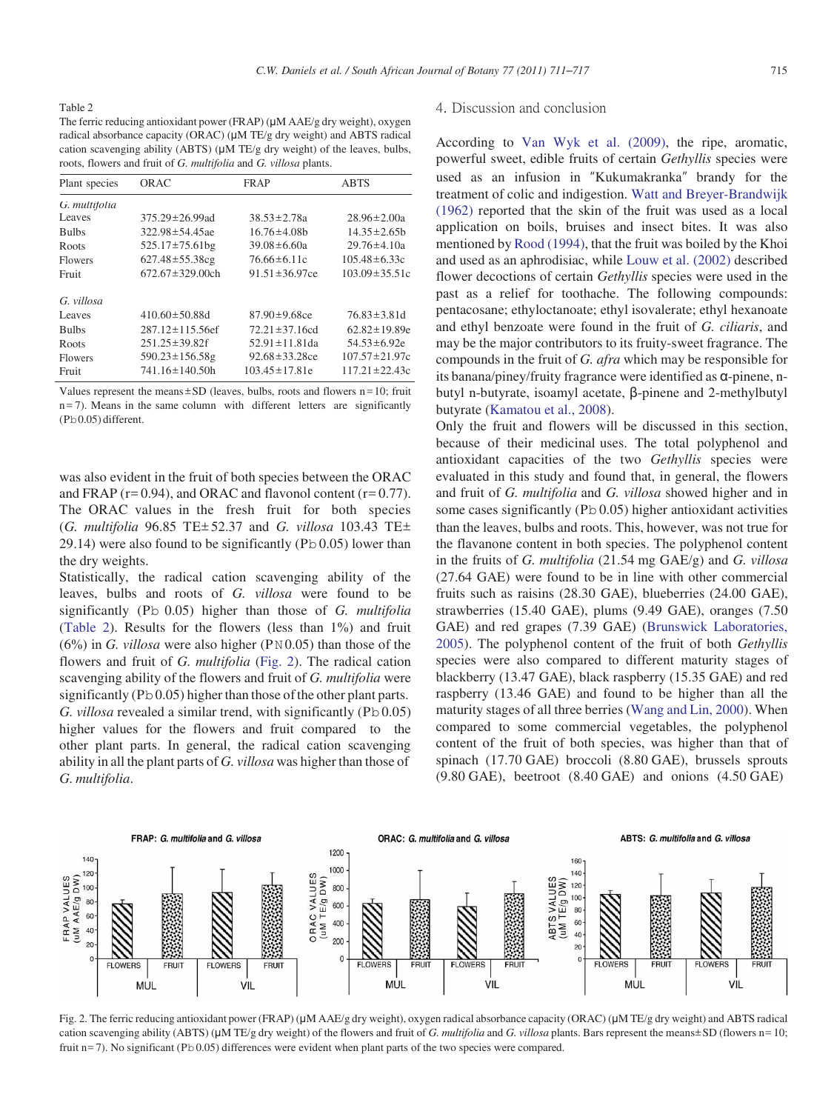#### <span id="page-4-0"></span>Table 2

The ferric reducing antioxidant power (FRAP) (μM AAE/g dry weight), oxygen radical absorbance capacity (ORAC) (μM TE/g dry weight) and ABTS radical cation scavenging ability (ABTS) (μM TE/g dry weight) of the leaves, bulbs, roots, flowers and fruit of *G. multifolia* and *G. villosa* plants.

| Plant species                                                                                        | <b>ORAC</b>            | <b>FRAP</b>          | <b>ABTS</b>         |  |
|------------------------------------------------------------------------------------------------------|------------------------|----------------------|---------------------|--|
| G. multifolia                                                                                        |                        |                      |                     |  |
| Leaves                                                                                               | $375.29 \pm 26.99$ ad  | $38.53 \pm 2.78a$    | $28.96 \pm 2.00a$   |  |
| <b>Bulbs</b>                                                                                         | $322.98 \pm 54.45$ ae  | $16.76 \pm 4.08$     | $14.35 \pm 2.65$ h  |  |
| Roots                                                                                                | $525.17 \pm 75.61$ bg  | $39.08 \pm 6.60a$    | $29.76 \pm 4.10a$   |  |
| <b>Flowers</b>                                                                                       | $627.48 \pm 55.38$ cg  | $76.66 \pm 6.11c$    | $105.48 \pm 6.33c$  |  |
| Fruit                                                                                                | $672.67 \pm 329.00$ ch | $91.51 \pm 36.97$ ce | $103.09 \pm 35.51c$ |  |
| G. villosa                                                                                           |                        |                      |                     |  |
| Leaves                                                                                               | $410.60 \pm 50.88$ d   | $87.90 \pm 9.68$ ce  | $76.83 \pm 3.81$ d  |  |
| <b>Bulbs</b>                                                                                         | $287.12 \pm 115.56$ ef | $72.21 \pm 37.16$ cd | $62.82 \pm 19.89e$  |  |
| Roots                                                                                                | $251.25 \pm 39.82f$    | $52.91 \pm 11.81$ da | $54.53 \pm 6.92e$   |  |
| <b>Flowers</b>                                                                                       | $590.23 \pm 156.58$ g  | $92.68 \pm 33.28$ ce | $107.57 \pm 21.97c$ |  |
| Fruit                                                                                                | 741.16±140.50h         | $103.45 \pm 17.81e$  | $117.21 \pm 22.43c$ |  |
| $\Lambda$ $\Omega$ also compared the means $\pm$ CD (leaves bulbs, goots and flames $n = 10$ , finit |                        |                      |                     |  |

Values represent the means $\pm$  SD (leaves, bulbs, roots and flowers n = 10; fruit  $n= 7$ ). Means in the same column with different letters are significantly  $(Pb 0.05)$  different.

was also evident in the fruit of both species between the ORAC and FRAP ( $r=0.94$ ), and ORAC and flavonol content ( $r=0.77$ ). The ORAC values in the fresh fruit for both species (*G. multifolia* 96.85 TE± 52.37 and *G. villosa* 103.43 TE± 29.14) were also found to be significantly ( $Pb 0.05$ ) lower than the dry weights.

Statistically, the radical cation scavenging ability of the leaves, bulbs and roots of *G. villosa* were found to be significantly (Pb 0.05) higher than those of *G. multifolia* [\(Table 2\)](#page-4-0). Results for the flowers (less than 1%) and fruit (6%) in *G. villosa* were also higher (PN 0.05) than those of the flowers and fruit of *G. multifolia* [\(Fig. 2\)](#page-4-1). The radical cation scavenging ability of the flowers and fruit of *G. multifolia* were significantly (Pb 0.05) higher than those of the other plant parts. *G. villosa* revealed a similar trend, with significantly (Pb 0.05) higher values for the flowers and fruit compared to the other plant parts. In general, the radical cation scavenging ability in all the plant parts of *G. villosa* was higher than those of *G. multifolia*.

# 4. Discussion and conclusion

According to [Van Wyk et al. \(2009\),](#page-6-0) the ripe, aromatic, powerful sweet, edible fruits of certain *Gethyllis* species were used as an infusion in "Kukumakranka" brandy for the treatment of colic and indigestion. [Watt and Breyer-Brandwijk](#page-6-0) [\(1962\)](#page-6-0) reported that the skin of the fruit was used as a local application on boils, bruises and insect bites. It was also mentioned by [Rood \(1994\),](#page-6-0) that the fruit was boiled by the Khoi and used as an aphrodisiac, whil[e Louw et al. \(2002\)](#page-5-9) described flower decoctions of certain *Gethyllis* species were used in the past as a relief for toothache. The following compounds: pentacosane; ethyloctanoate; ethyl isovalerate; ethyl hexanoate and ethyl benzoate were found in the fruit of *G. ciliaris*, and may be the major contributors to its fruity-sweet fragrance. The compounds in the fruit of *G. afra* which may be responsible for its banana/piney/fruity fragrance were identified as α-pinene, nbutyl n-butyrate, isoamyl acetate, β-pinene and 2-methylbutyl butyrate [\(Kamatou et al., 2008\)](#page-5-10).

Only the fruit and flowers will be discussed in this section, because of their medicinal uses. The total polyphenol and antioxidant capacities of the two *Gethyllis* species were evaluated in this study and found that, in general, the flowers and fruit of *G. multifolia* and *G. villosa* showed higher and in some cases significantly (Pb 0.05) higher antioxidant activities than the leaves, bulbs and roots. This, however, was not true for the flavanone content in both species. The polyphenol content in the fruits of *G. multifolia* (21.54 mg GAE/g) and *G. villosa* (27.64 GAE) were found to be in line with other commercial fruits such as raisins (28.30 GAE), blueberries (24.00 GAE), strawberries (15.40 GAE), plums (9.49 GAE), oranges (7.50 GAE) and red grapes (7.39 GAE) [\(Brunswick Laboratories,](#page-5-11) [2005\)](#page-5-11). The polyphenol content of the fruit of both *Gethyllis* species were also compared to different maturity stages of blackberry (13.47 GAE), black raspberry (15.35 GAE) and red raspberry (13.46 GAE) and found to be higher than all the maturity stages of all three berries [\(Wang and Lin, 2000\)](#page-6-0). When compared to some commercial vegetables, the polyphenol content of the fruit of both species, was higher than that of spinach (17.70 GAE) broccoli (8.80 GAE), brussels sprouts (9.80 GAE), beetroot (8.40 GAE) and onions (4.50 GAE)



<span id="page-4-1"></span>Fig. 2. The ferric reducing antioxidant power (FRAP) (μM AAE/g dry weight), oxygen radical absorbance capacity (ORAC) (μM TE/g dry weight) and ABTS radical cation scavenging ability (ABTS) (μM TE/g dry weight) of the flowers and fruit of *G. multifolia* and *G. villosa* plants. Bars represent the means± SD (flowers n= 10; fruit n= 7). No significant (Pb 0.05) differences were evident when plant parts of the two species were compared.